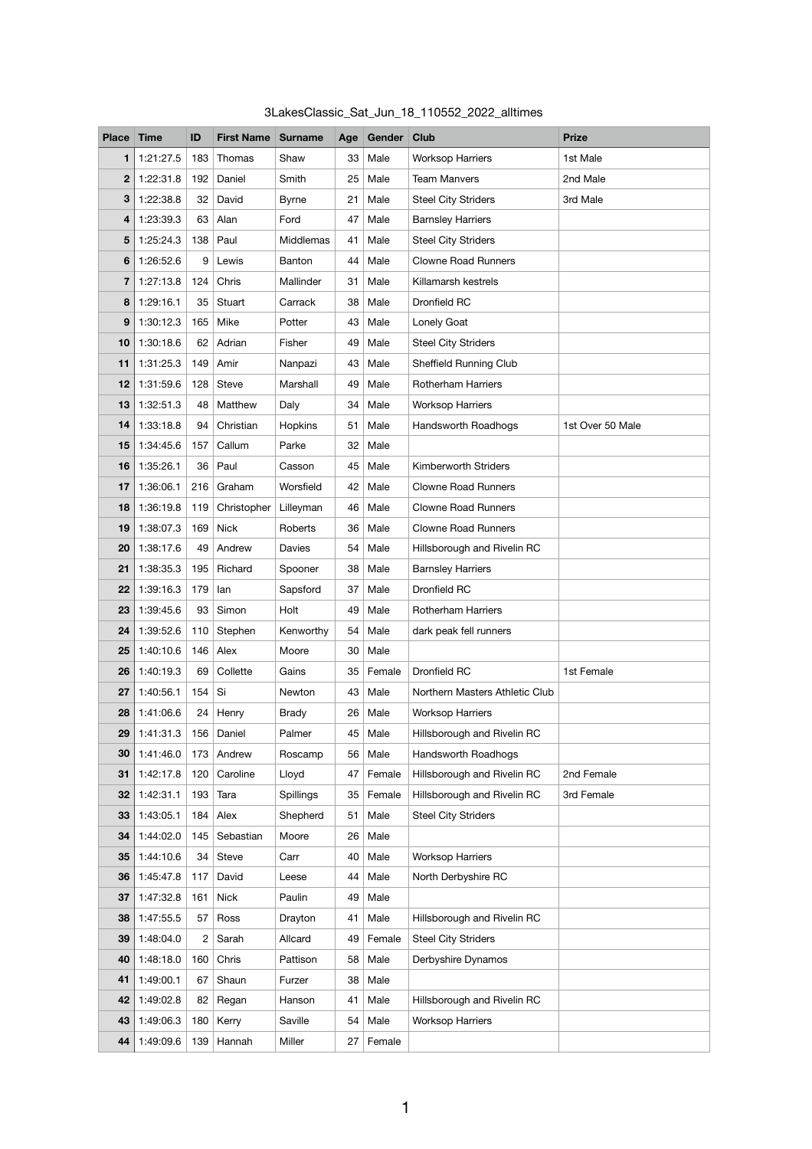| 3LakesClassic_Sat_Jun_18_110552_2022_alltimes |  |  |  |  |
|-----------------------------------------------|--|--|--|--|
|-----------------------------------------------|--|--|--|--|

| <b>Place</b> | <b>Time</b> | ID           | <b>First Name</b> | <b>Surname</b> | Age | Gender Club |                                | <b>Prize</b>     |
|--------------|-------------|--------------|-------------------|----------------|-----|-------------|--------------------------------|------------------|
| 1            | 1:21:27.5   | 183          | Thomas            | Shaw           | 33  | Male        | <b>Worksop Harriers</b>        | 1st Male         |
| $\mathbf 2$  | 1:22:31.8   | 192          | Daniel            | Smith          | 25  | Male        | <b>Team Manvers</b>            | 2nd Male         |
| 3            | 1:22:38.8   | 32           | David             | <b>Byrne</b>   | 21  | Male        | <b>Steel City Striders</b>     | 3rd Male         |
| 4            | 1:23:39.3   | 63           | Alan              | Ford           | 47  | Male        | <b>Barnsley Harriers</b>       |                  |
| 5            | 1:25:24.3   | 138          | Paul              | Middlemas      | 41  | Male        | <b>Steel City Striders</b>     |                  |
| 6            | 1:26:52.6   | 9            | Lewis             | Banton         | 44  | Male        | <b>Clowne Road Runners</b>     |                  |
| 7            | 1:27:13.8   | 124          | Chris             | Mallinder      | 31  | Male        | Killamarsh kestrels            |                  |
| 8            | 1:29:16.1   | 35           | Stuart            | Carrack        | 38  | Male        | Dronfield RC                   |                  |
| 9            | 1:30:12.3   | 165          | Mike              | Potter         | 43  | Male        | Lonely Goat                    |                  |
| 10           | 1:30:18.6   | 62           | Adrian            | Fisher         | 49  | Male        | <b>Steel City Striders</b>     |                  |
| 11           | 1:31:25.3   | 149          | Amir              | Nanpazi        | 43  | Male        | <b>Sheffield Running Club</b>  |                  |
| 12           | 1:31:59.6   | 128          | <b>Steve</b>      | Marshall       | 49  | Male        | <b>Rotherham Harriers</b>      |                  |
| 13           | 1:32:51.3   | 48           | Matthew           | Daly           | 34  | Male        | <b>Worksop Harriers</b>        |                  |
| 14           | 1:33:18.8   | 94           | Christian         | Hopkins        | 51  | Male        | Handsworth Roadhogs            | 1st Over 50 Male |
| 15           | 1:34:45.6   | 157          | Callum            | Parke          | 32  | Male        |                                |                  |
| 16           | 1:35:26.1   | 36           | Paul              | Casson         | 45  | Male        | Kimberworth Striders           |                  |
| 17           | 1:36:06.1   | 216          | Graham            | Worsfield      | 42  | Male        | <b>Clowne Road Runners</b>     |                  |
| 18           | 1:36:19.8   | 119          | Christopher       | Lilleyman      | 46  | Male        | <b>Clowne Road Runners</b>     |                  |
| 19           | 1:38:07.3   | 169          | <b>Nick</b>       | Roberts        | 36  | Male        | <b>Clowne Road Runners</b>     |                  |
| 20           | 1:38:17.6   | 49           | Andrew            | Davies         | 54  | Male        | Hillsborough and Rivelin RC    |                  |
| 21           | 1:38:35.3   | 195          | Richard           | Spooner        | 38  | Male        | <b>Barnsley Harriers</b>       |                  |
| 22           | 1:39:16.3   | 179          | lan               | Sapsford       | 37  | Male        | Dronfield RC                   |                  |
| 23           | 1:39:45.6   | 93           | Simon             | Holt           | 49  | Male        | <b>Rotherham Harriers</b>      |                  |
| 24           | 1:39:52.6   | 110          | Stephen           | Kenworthy      | 54  | Male        | dark peak fell runners         |                  |
| 25           | 1:40:10.6   | 146          | Alex              | Moore          | 30  | Male        |                                |                  |
| 26           | 1:40:19.3   | 69           | Collette          | Gains          | 35  | Female      | Dronfield RC                   | 1st Female       |
| 27           | 1:40:56.1   | 154          | Si                | Newton         | 43  | Male        | Northern Masters Athletic Club |                  |
| 28           | 1:41:06.6   | 24           | Henry             | <b>Brady</b>   | 26  | Male        | <b>Worksop Harriers</b>        |                  |
| 29           | 1:41:31.3   | 156          | Daniel            | Palmer         | 45  | Male        | Hillsborough and Rivelin RC    |                  |
| 30           | 1:41:46.0   | 173          | Andrew            | Roscamp        | 56  | Male        | Handsworth Roadhogs            |                  |
| 31           | 1:42:17.8   | 120          | Caroline          | Lloyd          | 47  | Female      | Hillsborough and Rivelin RC    | 2nd Female       |
| 32           | 1:42:31.1   | 193          | Tara              | Spillings      | 35  | Female      | Hillsborough and Rivelin RC    | 3rd Female       |
| 33           | 1:43:05.1   | 184          | Alex              | Shepherd       | 51  | Male        | <b>Steel City Striders</b>     |                  |
| 34           | 1:44:02.0   | 145          | Sebastian         | Moore          | 26  | Male        |                                |                  |
| 35           | 1:44:10.6   | 34           | <b>Steve</b>      | Carr           | 40  | Male        | <b>Worksop Harriers</b>        |                  |
| 36           | 1:45:47.8   | 117          | David             | Leese          | 44  | Male        | North Derbyshire RC            |                  |
| 37           | 1:47:32.8   | 161          | <b>Nick</b>       | Paulin         | 49  | Male        |                                |                  |
| 38           | 1:47:55.5   | 57           | Ross              | Drayton        | 41  | Male        | Hillsborough and Rivelin RC    |                  |
| 39           | 1:48:04.0   | $\mathbf{2}$ | Sarah             | Allcard        | 49  | Female      | <b>Steel City Striders</b>     |                  |
| 40           | 1:48:18.0   | 160          | Chris             | Pattison       | 58  | Male        | Derbyshire Dynamos             |                  |
| 41           | 1:49:00.1   | 67           | Shaun             | Furzer         | 38  | Male        |                                |                  |
| 42           | 1:49:02.8   | 82           | Regan             | Hanson         | 41  | Male        | Hillsborough and Rivelin RC    |                  |
| 43           | 1:49:06.3   | 180          | Kerry             | Saville        | 54  | Male        | <b>Worksop Harriers</b>        |                  |
| 44           | 1:49:09.6   | 139          | Hannah            | Miller         | 27  | Female      |                                |                  |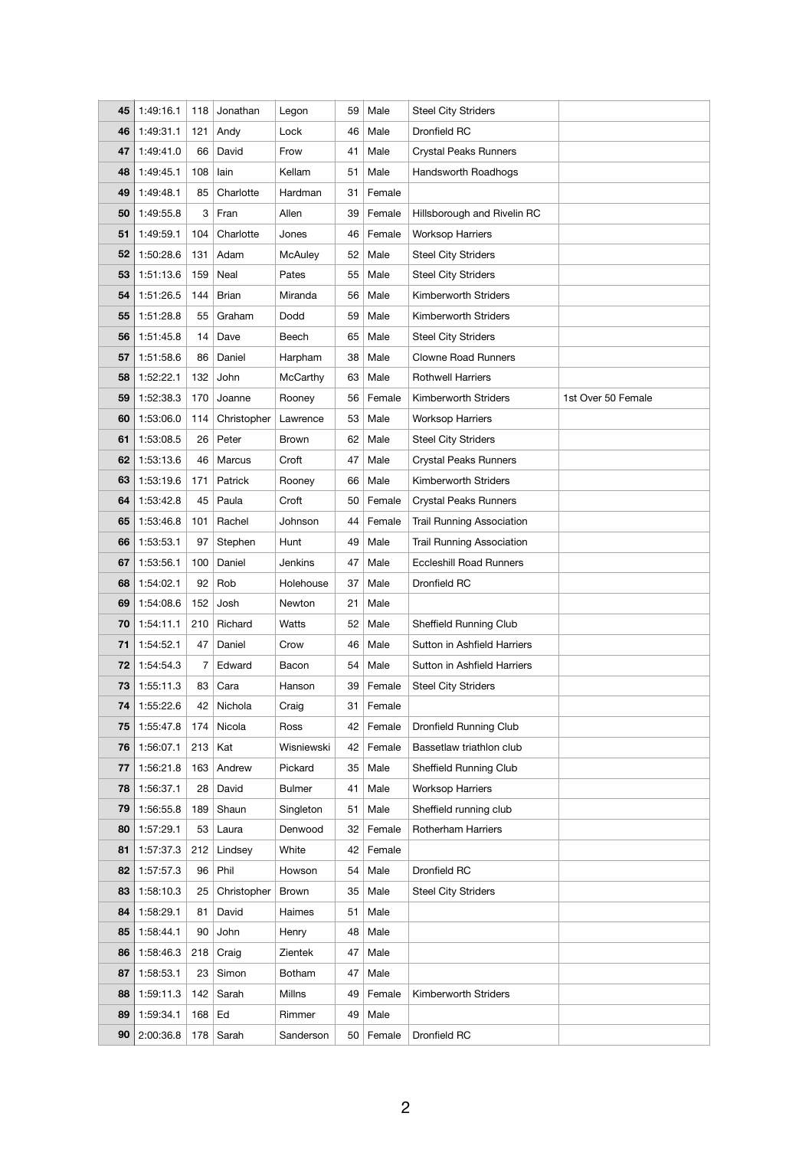| 45 | 1:49:16.1 | 118 | Jonathan     | Legon          | 59 | Male   | <b>Steel City Striders</b>       |                    |
|----|-----------|-----|--------------|----------------|----|--------|----------------------------------|--------------------|
| 46 | 1:49:31.1 | 121 | Andy         | Lock           | 46 | Male   | Dronfield RC                     |                    |
| 47 | 1:49:41.0 | 66  | David        | Frow           | 41 | Male   | <b>Crystal Peaks Runners</b>     |                    |
| 48 | 1:49:45.1 | 108 | lain         | Kellam         | 51 | Male   | Handsworth Roadhogs              |                    |
| 49 | 1:49:48.1 | 85  | Charlotte    | Hardman        | 31 | Female |                                  |                    |
| 50 | 1:49:55.8 | 3   | Fran         | Allen          | 39 | Female | Hillsborough and Rivelin RC      |                    |
| 51 | 1:49:59.1 | 104 | Charlotte    | Jones          | 46 | Female | <b>Worksop Harriers</b>          |                    |
| 52 | 1:50:28.6 | 131 | Adam         | <b>McAuley</b> | 52 | Male   | <b>Steel City Striders</b>       |                    |
| 53 | 1:51:13.6 | 159 | Neal         | Pates          | 55 | Male   | <b>Steel City Striders</b>       |                    |
| 54 | 1:51:26.5 | 144 | <b>Brian</b> | Miranda        | 56 | Male   | Kimberworth Striders             |                    |
| 55 | 1:51:28.8 | 55  | Graham       | Dodd           | 59 | Male   | Kimberworth Striders             |                    |
| 56 | 1:51:45.8 | 14  | Dave         | Beech          | 65 | Male   | <b>Steel City Striders</b>       |                    |
| 57 | 1:51:58.6 | 86  | Daniel       | Harpham        | 38 | Male   | <b>Clowne Road Runners</b>       |                    |
| 58 | 1:52:22.1 | 132 | John         | McCarthy       | 63 | Male   | <b>Rothwell Harriers</b>         |                    |
| 59 | 1:52:38.3 | 170 | Joanne       | Rooney         | 56 | Female | Kimberworth Striders             | 1st Over 50 Female |
| 60 | 1:53:06.0 | 114 | Christopher  | Lawrence       | 53 | Male   | <b>Worksop Harriers</b>          |                    |
| 61 | 1:53:08.5 | 26  | Peter        | <b>Brown</b>   | 62 | Male   | <b>Steel City Striders</b>       |                    |
| 62 | 1:53:13.6 | 46  | Marcus       | Croft          | 47 | Male   | <b>Crystal Peaks Runners</b>     |                    |
| 63 | 1:53:19.6 | 171 | Patrick      | Rooney         | 66 | Male   | Kimberworth Striders             |                    |
| 64 | 1:53:42.8 | 45  | Paula        | Croft          | 50 | Female | <b>Crystal Peaks Runners</b>     |                    |
| 65 | 1:53:46.8 | 101 | Rachel       | Johnson        | 44 | Female | <b>Trail Running Association</b> |                    |
| 66 | 1:53:53.1 | 97  | Stephen      | Hunt           | 49 | Male   | <b>Trail Running Association</b> |                    |
| 67 | 1:53:56.1 | 100 | Daniel       | Jenkins        | 47 | Male   | <b>Eccleshill Road Runners</b>   |                    |
| 68 | 1:54:02.1 | 92  | Rob          | Holehouse      | 37 | Male   | <b>Dronfield RC</b>              |                    |
| 69 | 1:54:08.6 | 152 | Josh         | Newton         | 21 | Male   |                                  |                    |
| 70 | 1:54:11.1 | 210 | Richard      | Watts          | 52 | Male   | <b>Sheffield Running Club</b>    |                    |
| 71 | 1:54:52.1 | 47  | Daniel       | Crow           | 46 | Male   | Sutton in Ashfield Harriers      |                    |
| 72 | 1:54:54.3 | 7   | Edward       | Bacon          | 54 | Male   | Sutton in Ashfield Harriers      |                    |
| 73 | 1:55:11.3 | 83  | Cara         | Hanson         | 39 | Female | <b>Steel City Striders</b>       |                    |
| 74 | 1:55:22.6 | 42  | Nichola      | Craig          | 31 | Female |                                  |                    |
| 75 | 1:55:47.8 | 174 | Nicola       | Ross           | 42 | Female | Dronfield Running Club           |                    |
| 76 | 1:56:07.1 | 213 | Kat          | Wisniewski     | 42 | Female | Bassetlaw triathlon club         |                    |
| 77 | 1:56:21.8 | 163 | Andrew       | Pickard        | 35 | Male   | <b>Sheffield Running Club</b>    |                    |
| 78 | 1:56:37.1 | 28  | David        | <b>Bulmer</b>  | 41 | Male   | <b>Worksop Harriers</b>          |                    |
| 79 | 1:56:55.8 | 189 | Shaun        | Singleton      | 51 | Male   | Sheffield running club           |                    |
| 80 | 1:57:29.1 | 53  | Laura        | Denwood        | 32 | Female | <b>Rotherham Harriers</b>        |                    |
| 81 | 1:57:37.3 | 212 | Lindsey      | White          | 42 | Female |                                  |                    |
| 82 | 1:57:57.3 | 96  | Phil         | Howson         | 54 | Male   | Dronfield RC                     |                    |
| 83 | 1:58:10.3 | 25  | Christopher  | <b>Brown</b>   | 35 | Male   | <b>Steel City Striders</b>       |                    |
| 84 | 1:58:29.1 | 81  | David        | Haimes         | 51 | Male   |                                  |                    |
| 85 | 1:58:44.1 | 90  | John         | Henry          | 48 | Male   |                                  |                    |
| 86 | 1:58:46.3 | 218 | Craig        | Zientek        | 47 | Male   |                                  |                    |
| 87 | 1:58:53.1 | 23  | Simon        | <b>Botham</b>  | 47 | Male   |                                  |                    |
| 88 | 1:59:11.3 | 142 | Sarah        | Millns         | 49 | Female | Kimberworth Striders             |                    |
| 89 | 1:59:34.1 | 168 | Ed           | Rimmer         | 49 | Male   |                                  |                    |
| 90 | 2:00:36.8 | 178 | Sarah        |                | 50 |        | Dronfield RC                     |                    |
|    |           |     |              | Sanderson      |    | Female |                                  |                    |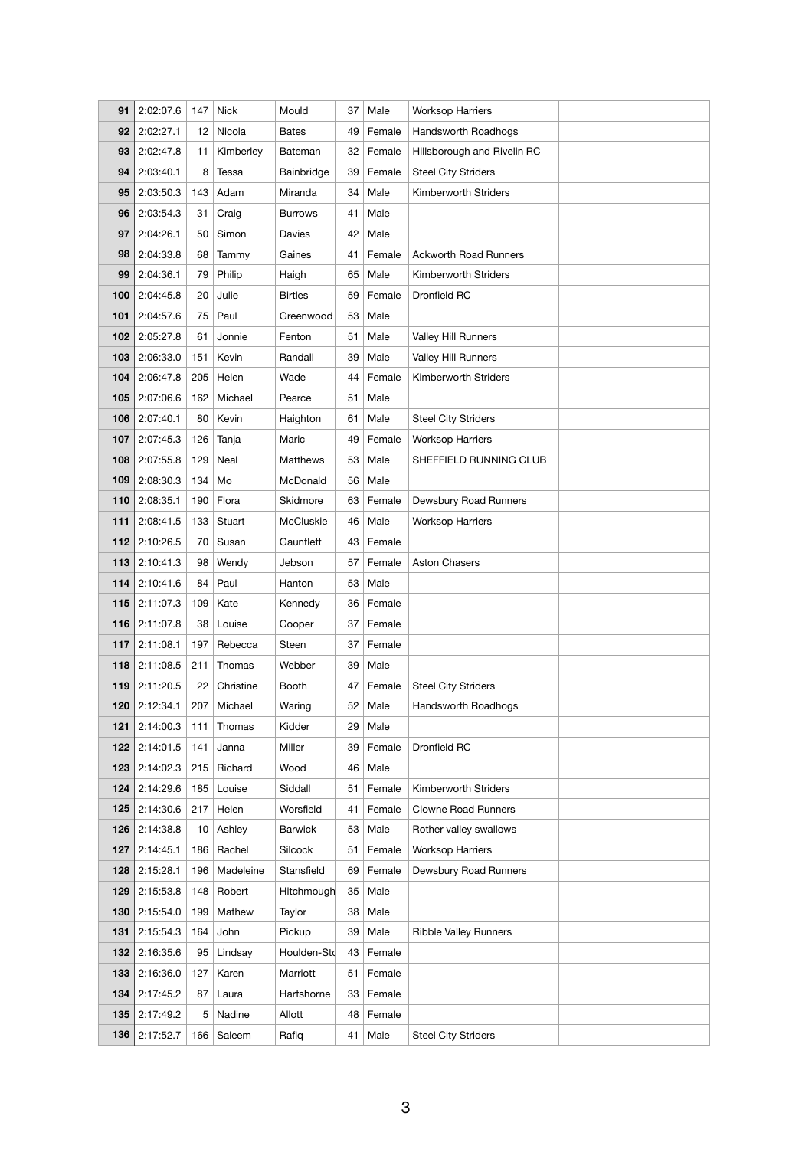| 91  | 2:02:07.6 | 147 | <b>Nick</b> | Mould            | 37 | Male   | <b>Worksop Harriers</b>      |  |
|-----|-----------|-----|-------------|------------------|----|--------|------------------------------|--|
| 92  | 2:02:27.1 | 12  | Nicola      | <b>Bates</b>     | 49 | Female | <b>Handsworth Roadhogs</b>   |  |
| 93  | 2:02:47.8 | 11  | Kimberley   | Bateman          | 32 | Female | Hillsborough and Rivelin RC  |  |
| 94  | 2:03:40.1 | 8   | Tessa       | Bainbridge       | 39 | Female | <b>Steel City Striders</b>   |  |
| 95  | 2:03:50.3 | 143 | Adam        | Miranda          | 34 | Male   | Kimberworth Striders         |  |
| 96  | 2:03:54.3 | 31  | Craig       | <b>Burrows</b>   | 41 | Male   |                              |  |
| 97  | 2:04:26.1 | 50  | Simon       | Davies           | 42 | Male   |                              |  |
| 98  | 2:04:33.8 | 68  | Tammy       | Gaines           | 41 | Female | <b>Ackworth Road Runners</b> |  |
| 99  | 2:04:36.1 | 79  | Philip      | Haigh            | 65 | Male   | Kimberworth Striders         |  |
| 100 | 2:04:45.8 | 20  | Julie       | <b>Birtles</b>   | 59 | Female | Dronfield RC                 |  |
| 101 | 2:04:57.6 | 75  | Paul        | Greenwood        | 53 | Male   |                              |  |
| 102 | 2:05:27.8 | 61  | Jonnie      | Fenton           | 51 | Male   | Valley Hill Runners          |  |
| 103 | 2:06:33.0 | 151 | Kevin       | Randall          | 39 | Male   | Valley Hill Runners          |  |
| 104 | 2:06:47.8 | 205 | Helen       | Wade             | 44 | Female | Kimberworth Striders         |  |
| 105 | 2:07:06.6 | 162 | Michael     | Pearce           | 51 | Male   |                              |  |
| 106 | 2:07:40.1 | 80  | Kevin       | Haighton         | 61 | Male   | <b>Steel City Striders</b>   |  |
| 107 | 2:07:45.3 | 126 | Tanja       | Maric            | 49 | Female | <b>Worksop Harriers</b>      |  |
| 108 | 2:07:55.8 | 129 | Neal        | <b>Matthews</b>  | 53 | Male   | SHEFFIELD RUNNING CLUB       |  |
| 109 | 2:08:30.3 | 134 | Mo          | McDonald         | 56 | Male   |                              |  |
| 110 | 2:08:35.1 | 190 | Flora       | Skidmore         | 63 | Female | Dewsbury Road Runners        |  |
| 111 | 2:08:41.5 | 133 | Stuart      | <b>McCluskie</b> | 46 | Male   | <b>Worksop Harriers</b>      |  |
| 112 | 2:10:26.5 | 70  | Susan       | Gauntlett        | 43 | Female |                              |  |
| 113 | 2:10:41.3 | 98  | Wendy       | Jebson           | 57 | Female | <b>Aston Chasers</b>         |  |
| 114 | 2:10:41.6 | 84  | Paul        | Hanton           | 53 | Male   |                              |  |
| 115 | 2:11:07.3 | 109 | Kate        | Kennedy          | 36 | Female |                              |  |
| 116 | 2:11:07.8 | 38  | Louise      | Cooper           | 37 | Female |                              |  |
| 117 | 2:11:08.1 | 197 | Rebecca     | Steen            | 37 | Female |                              |  |
| 118 | 2:11:08.5 | 211 | Thomas      | Webber           | 39 | Male   |                              |  |
| 119 | 2:11:20.5 | 22  | Christine   | <b>Booth</b>     | 47 | Female | <b>Steel City Striders</b>   |  |
| 120 | 2:12:34.1 | 207 | Michael     | Waring           | 52 | Male   | Handsworth Roadhogs          |  |
| 121 | 2:14:00.3 | 111 | Thomas      | Kidder           | 29 | Male   |                              |  |
| 122 | 2:14:01.5 | 141 | Janna       | Miller           | 39 | Female | Dronfield RC                 |  |
| 123 | 2:14:02.3 | 215 | Richard     | Wood             | 46 | Male   |                              |  |
| 124 | 2:14:29.6 | 185 | Louise      | Siddall          | 51 | Female | Kimberworth Striders         |  |
| 125 | 2:14:30.6 | 217 | Helen       | Worsfield        | 41 | Female | <b>Clowne Road Runners</b>   |  |
| 126 | 2:14:38.8 | 10  | Ashley      | <b>Barwick</b>   | 53 | Male   | Rother valley swallows       |  |
| 127 | 2:14:45.1 | 186 | Rachel      | Silcock          | 51 | Female | <b>Worksop Harriers</b>      |  |
| 128 | 2:15:28.1 | 196 | Madeleine   | Stansfield       | 69 | Female | Dewsbury Road Runners        |  |
| 129 | 2:15:53.8 | 148 | Robert      | Hitchmough       | 35 | Male   |                              |  |
| 130 | 2:15:54.0 | 199 | Mathew      | Taylor           | 38 | Male   |                              |  |
| 131 | 2:15:54.3 | 164 | John        | Pickup           | 39 | Male   | <b>Ribble Valley Runners</b> |  |
| 132 | 2:16:35.6 | 95  | Lindsay     | Houlden-Std      | 43 | Female |                              |  |
| 133 | 2:16:36.0 | 127 | Karen       | Marriott         | 51 | Female |                              |  |
| 134 | 2:17:45.2 | 87  | Laura       | Hartshorne       | 33 | Female |                              |  |
| 135 | 2:17:49.2 | 5   | Nadine      | Allott           | 48 | Female |                              |  |
| 136 | 2:17:52.7 | 166 | Saleem      | Rafiq            | 41 | Male   | <b>Steel City Striders</b>   |  |